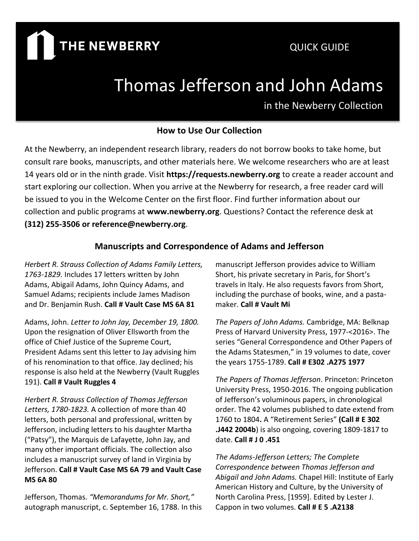# **THE NEWBERRY**

# Thomas Jefferson and John Adams

in the Newberry Collection

#### **How to Use Our Collection**

At the Newberry, an independent research library, readers do not borrow books to take home, but consult rare books, manuscripts, and other materials here. We welcome researchers who are at least 14 years old or in the ninth grade. Visit **https://requests.newberry.org** to create a reader account and start exploring our collection. When you arrive at the Newberry for research, a free reader card will be issued to you in the Welcome Center on the first floor. Find further information about our collection and public programs at **www.newberry.org**. Questions? Contact the reference desk at **(312) 255-3506 or reference@newberry.org**.

#### **Manuscripts and Correspondence of Adams and Jefferson**

*Herbert R. Strauss Collection of Adams Family Letters, 1763-1829.* Includes 17 letters written by John Adams, Abigail Adams, John Quincy Adams, and Samuel Adams; recipients include James Madison and Dr. Benjamin Rush. **Call # Vault Case MS 6A 81**

Adams, John. *Letter to John Jay, December 19, 1800.* Upon the resignation of Oliver Ellsworth from the office of Chief Justice of the Supreme Court, President Adams sent this letter to Jay advising him of his renomination to that office. Jay declined; his response is also held at the Newberry (Vault Ruggles 191). **Call # Vault Ruggles 4**

*Herbert R. Strauss Collection of Thomas Jefferson Letters, 1780-1823.* A collection of more than 40 letters, both personal and professional, written by Jefferson, including letters to his daughter Martha ("Patsy"), the Marquis de Lafayette, John Jay, and many other important officials. The collection also includes a manuscript survey of land in Virginia by Jefferson. **Call # Vault Case MS 6A 79 and Vault Case MS 6A 80**

Jefferson, Thomas. *"Memorandums for Mr. Short,"* autograph manuscript, c. September 16, 1788. In this

manuscript Jefferson provides advice to William Short, his private secretary in Paris, for Short's travels in Italy. He also requests favors from Short, including the purchase of books, wine, and a pastamaker. **Call # Vault Mi**

*The Papers of John Adams.* Cambridge, MA: Belknap Press of Harvard University Press, 1977-<2016>. The series "General Correspondence and Other Papers of the Adams Statesmen," in 19 volumes to date, cover the years 1755-1789. **Call # E302 .A275 1977**

*The Papers of Thomas Jefferson*. Princeton: Princeton University Press, 1950-2016. The ongoing publication of Jefferson's voluminous papers, in chronological order. The 42 volumes published to date extend from 1760 to 1804**.** A "Retirement Series" **(Call # E 302 .J442 2004b**) is also ongoing, covering 1809-1817 to date. **Call # J 0 .451**

*The Adams-Jefferson Letters; The Complete Correspondence between Thomas Jefferson and Abigail and John Adams.* Chapel Hill: Institute of Early American History and Culture, by the University of North Carolina Press, [1959]. Edited by Lester J. Cappon in two volumes. **Call # E 5 .A2138**